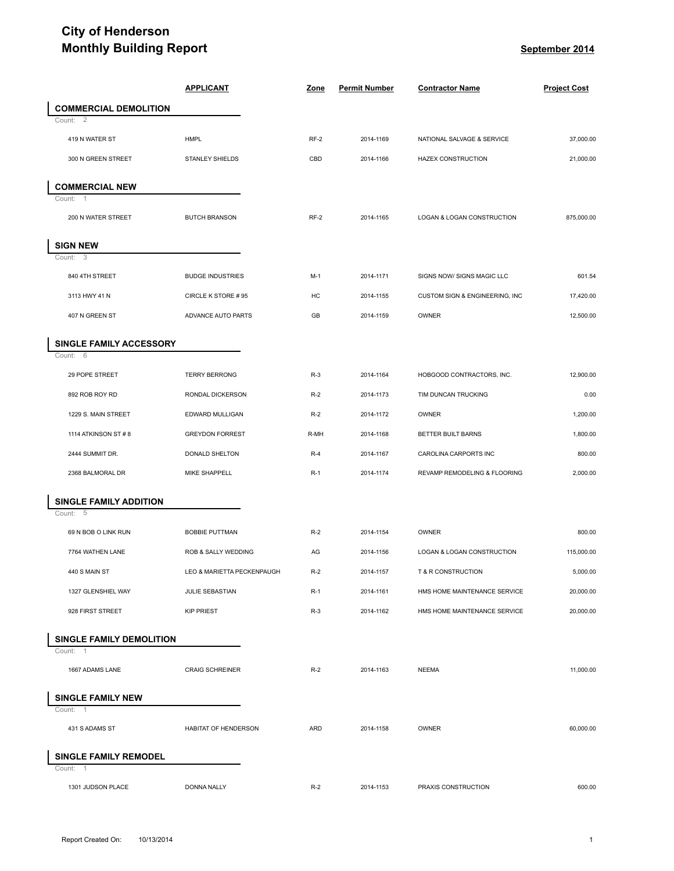## **City of Henderson Monthly Building Report September** 2014

|                                                   | <b>Monthly Building Report</b> |             |                      | September 2014                 |                     |
|---------------------------------------------------|--------------------------------|-------------|----------------------|--------------------------------|---------------------|
|                                                   | <b>APPLICANT</b>               | <u>Zone</u> | <b>Permit Number</b> | <b>Contractor Name</b>         | <b>Project Cost</b> |
| <b>COMMERCIAL DEMOLITION</b>                      |                                |             |                      |                                |                     |
| Count:<br>2                                       |                                |             |                      |                                |                     |
| 419 N WATER ST                                    | <b>HMPL</b>                    | RF-2        | 2014-1169            | NATIONAL SALVAGE & SERVICE     | 37,000.00           |
| 300 N GREEN STREET                                | STANLEY SHIELDS                | CBD         | 2014-1166            | <b>HAZEX CONSTRUCTION</b>      | 21,000.00           |
| <b>COMMERCIAL NEW</b><br>Count:<br>$\overline{1}$ |                                |             |                      |                                |                     |
| 200 N WATER STREET                                | <b>BUTCH BRANSON</b>           | RF-2        | 2014-1165            | LOGAN & LOGAN CONSTRUCTION     | 875,000.00          |
| <b>SIGN NEW</b><br>Count:<br>-3                   |                                |             |                      |                                |                     |
| 840 4TH STREET                                    | <b>BUDGE INDUSTRIES</b>        | $M-1$       | 2014-1171            | SIGNS NOW/ SIGNS MAGIC LLC     | 601.54              |
| 3113 HWY 41 N                                     | CIRCLE K STORE #95             | HC          | 2014-1155            | CUSTOM SIGN & ENGINEERING, INC | 17,420.00           |
| 407 N GREEN ST                                    | ADVANCE AUTO PARTS             | GB          | 2014-1159            | OWNER                          | 12,500.00           |
| SINGLE FAMILY ACCESSORY                           |                                |             |                      |                                |                     |
| Count: 6<br>29 POPE STREET                        | <b>TERRY BERRONG</b>           | $R-3$       | 2014-1164            | HOBGOOD CONTRACTORS, INC.      | 12,900.00           |
| 892 ROB ROY RD                                    | RONDAL DICKERSON               | $R-2$       | 2014-1173            | TIM DUNCAN TRUCKING            | 0.00                |
| 1229 S. MAIN STREET                               | EDWARD MULLIGAN                | $R-2$       | 2014-1172            | OWNER                          | 1,200.00            |
| 1114 ATKINSON ST #8                               | <b>GREYDON FORREST</b>         | R-MH        | 2014-1168            | BETTER BUILT BARNS             | 1,800.00            |
| 2444 SUMMIT DR.                                   | DONALD SHELTON                 | $R-4$       | 2014-1167            | CAROLINA CARPORTS INC          | 800.00              |
| 2368 BALMORAL DR                                  | MIKE SHAPPELL                  | $R-1$       | 2014-1174            | REVAMP REMODELING & FLOORING   | 2,000.00            |
| <b>SINGLE FAMILY ADDITION</b><br>Count: 5         |                                |             |                      |                                |                     |
| 69 N BOB O LINK RUN                               | <b>BOBBIE PUTTMAN</b>          | $R-2$       | 2014-1154            | OWNER                          | 800.00              |
| 7764 WATHEN LANE                                  | ROB & SALLY WEDDING            | AG          | 2014-1156            | LOGAN & LOGAN CONSTRUCTION     | 115,000.00          |
| 440 S MAIN ST                                     | LEO & MARIETTA PECKENPAUGH     | $R-2$       | 2014-1157            | T & R CONSTRUCTION             | 5,000.00            |
| 1327 GLENSHIEL WAY                                | JULIE SEBASTIAN                | $R-1$       | 2014-1161            | HMS HOME MAINTENANCE SERVICE   | 20,000.00           |
| 928 FIRST STREET                                  | <b>KIP PRIEST</b>              | $R-3$       | 2014-1162            | HMS HOME MAINTENANCE SERVICE   | 20,000.00           |
| SINGLE FAMILY DEMOLITION                          |                                |             |                      |                                |                     |
| Count:<br>$\overline{1}$<br>1667 ADAMS LANE       | <b>CRAIG SCHREINER</b>         | $R-2$       | 2014-1163            | <b>NEEMA</b>                   | 11,000.00           |
|                                                   |                                |             |                      |                                |                     |
| <b>SINGLE FAMILY NEW</b><br>Count:<br>-1          |                                |             |                      |                                |                     |
| 431 S ADAMS ST                                    | HABITAT OF HENDERSON           | <b>ARD</b>  | 2014-1158            | OWNER                          | 60,000.00           |
| <b>SINGLE FAMILY REMODEL</b><br>Count:<br>-1      |                                |             |                      |                                |                     |
| 1301 JUDSON PLACE                                 | DONNA NALLY                    | $R-2$       | 2014-1153            | PRAXIS CONSTRUCTION            | 600.00              |
|                                                   |                                |             |                      |                                |                     |